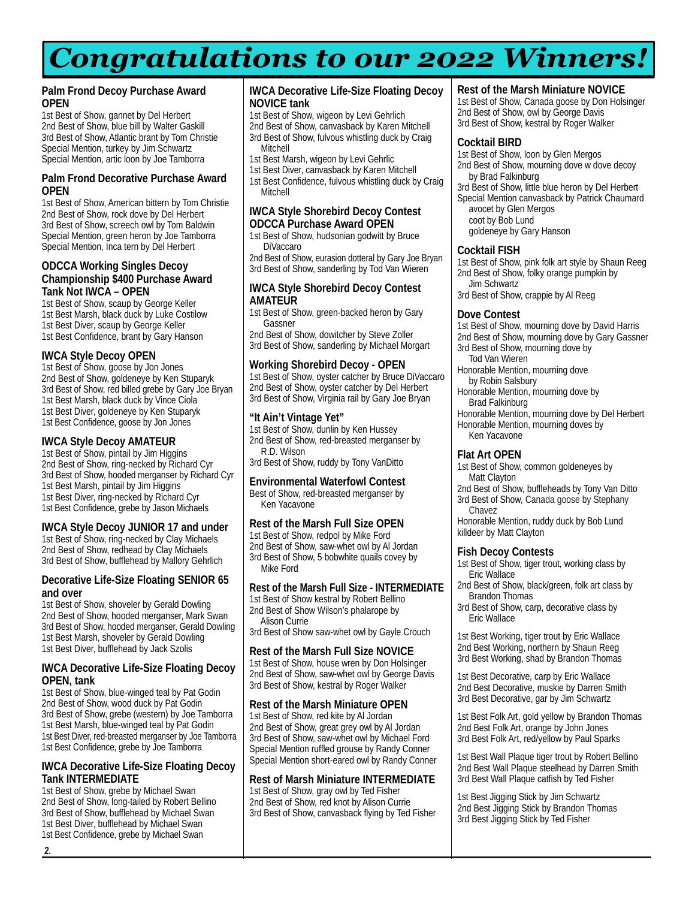# *Congratulations to our 2022 Winners!*

#### **Palm Frond Decoy Purchase Award OPEN**

1st Best of Show, gannet by Del Herbert 2nd Best of Show, blue bill by Walter Gaskill 3rd Best of Show, Atlantic brant by Tom Christie Special Mention, turkey by Jim Schwartz Special Mention, artic loon by Joe Tamborra

#### **Palm Frond Decorative Purchase Award OPEN**

1st Best of Show, American bittern by Tom Christie 2nd Best of Show, rock dove by Del Herbert 3rd Best of Show, screech owl by Tom Baldwin Special Mention, green heron by Joe Tamborra Special Mention, Inca tern by Del Herbert

#### **ODCCA Working Singles Decoy Championship \$400 Purchase Award Tank Not IWCA – OPEN**

1st Best of Show, scaup by George Keller 1st Best Marsh, black duck by Luke Costilow 1st Best Diver, scaup by George Keller 1st Best Confidence, brant by Gary Hanson

#### **IWCA Style Decoy OPEN**

1st Best of Show, goose by Jon Jones 2nd Best of Show, goldeneye by Ken Stuparyk 3rd Best of Show, red billed grebe by Gary Joe Bryan 1st Best Marsh, black duck by Vince Ciola 1st Best Diver, goldeneye by Ken Stuparyk 1st Best Confidence, goose by Jon Jones

#### **IWCA Style Decoy AMATEUR**

1st Best of Show, pintail by Jim Higgins 2nd Best of Show, ring-necked by Richard Cyr 3rd Best of Show, hooded merganser by Richard Cyr 1st Best Marsh, pintail by Jim Higgins 1st Best Diver, ring-necked by Richard Cyr 1st Best Confidence, grebe by Jason Michaels

#### **IWCA Style Decoy JUNIOR 17 and under**

1st Best of Show, ring-necked by Clay Michaels 2nd Best of Show, redhead by Clay Michaels 3rd Best of Show, bufflehead by Mallory Gehrlich

#### **Decorative Life-Size Floating SENIOR 65 and over**

1st Best of Show, shoveler by Gerald Dowling 2nd Best of Show, hooded merganser, Mark Swan 3rd Best of Show, hooded merganser, Gerald Dowling 1st Best Marsh, shoveler by Gerald Dowling 1st Best Diver, bufflehead by Jack Szolis

#### **IWCA Decorative Life-Size Floating Decoy OPEN, tank**

1st Best of Show, blue-winged teal by Pat Godin 2nd Best of Show, wood duck by Pat Godin 3rd Best of Show, grebe (western) by Joe Tamborra 1st Best Marsh, blue-winged teal by Pat Godin 1st Best Diver, red-breasted merganser by Joe Tamborra 1st Best Confidence, grebe by Joe Tamborra

#### **IWCA Decorative Life-Size Floating Decoy Tank INTERMEDIATE**

1st Best of Show, grebe by Michael Swan 2nd Best of Show, long-tailed by Robert Bellino 3rd Best of Show, bufflehead by Michael Swan 1st Best Diver, bufflehead by Michael Swan 1st Best Confidence, grebe by Michael Swan

#### **IWCA Decorative Life-Size Floating Decoy NOVICE tank**

1st Best of Show, wigeon by Levi Gehrlich 2nd Best of Show, canvasback by Karen Mitchell 3rd Best of Show, fulvous whistling duck by Craig Mitchell

- 1st Best Marsh, wigeon by Levi Gehrlic
- 1st Best Diver, canvasback by Karen Mitchell

1st Best Confidence, fulvous whistling duck by Craig **Mitchell** 

#### **IWCA Style Shorebird Decoy Contest ODCCA Purchase Award OPEN**

1st Best of Show, hudsonian godwitt by Bruce DiVaccaro

2nd Best of Show, eurasion dotteral by Gary Joe Bryan 3rd Best of Show, sanderling by Tod Van Wieren

#### **IWCA Style Shorebird Decoy Contest AMATEUR**

1st Best of Show, green-backed heron by Gary Gassner

2nd Best of Show, dowitcher by Steve Zoller 3rd Best of Show, sanderling by Michael Morgart

#### **Working Shorebird Decoy - OPEN**

1st Best of Show, oyster catcher by Bruce DiVaccaro 2nd Best of Show, oyster catcher by Del Herbert 3rd Best of Show, Virginia rail by Gary Joe Bryan

#### **"It Ain't Vintage Yet"**

1st Best of Show, dunlin by Ken Hussey 2nd Best of Show, red-breasted merganser by R.D. Wilson 3rd Best of Show, ruddy by Tony VanDitto

#### **Environmental Waterfowl Contest** Best of Show, red-breasted merganser by Ken Yacavone

#### **Rest of the Marsh Full Size OPEN**

1st Best of Show, redpol by Mike Ford 2nd Best of Show, saw-whet owl by Al Jordan 3rd Best of Show, 5 bobwhite quails covey by Mike Ford

#### **Rest of the Marsh Full Size - INTERMEDIATE**

1st Best of Show kestral by Robert Bellino 2nd Best of Show Wilson's phalarope by Alison Currie 3rd Best of Show saw-whet owl by Gayle Crouch

#### **Rest of the Marsh Full Size NOVICE** 1st Best of Show, house wren by Don Holsinger

2nd Best of Show, saw-whet owl by George Davis 3rd Best of Show, kestral by Roger Walker

#### **Rest of the Marsh Miniature OPEN**

1st Best of Show, red kite by Al Jordan 2nd Best of Show, great grey owl by Al Jordan 3rd Best of Show, saw-whet owl by Michael Ford Special Mention ruffled grouse by Randy Conner Special Mention short-eared owl by Randy Conner

#### **Rest of Marsh Miniature INTERMEDIATE**

1st Best of Show, gray owl by Ted Fisher 2nd Best of Show, red knot by Alison Currie 3rd Best of Show, canvasback flying by Ted Fisher

#### **Rest of the Marsh Miniature NOVICE**

1st Best of Show, Canada goose by Don Holsinger 2nd Best of Show, owl by George Davis 3rd Best of Show, kestral by Roger Walker

#### **Cocktail BIRD**

1st Best of Show, loon by Glen Mergos 2nd Best of Show, mourning dove w dove decoy by Brad Falkinburg

3rd Best of Show, little blue heron by Del Herbert

Special Mention canvasback by Patrick Chaumard avocet by Glen Mergos coot by Bob Lund goldeneye by Gary Hanson

# **Cocktail FISH**

1st Best of Show, pink folk art style by Shaun Reeg 2nd Best of Show, folky orange pumpkin by Jim Schwartz

3rd Best of Show, crappie by Al Reeg

#### **Dove Contest**

1st Best of Show, mourning dove by David Harris 2nd Best of Show, mourning dove by Gary Gassner 3rd Best of Show, mourning dove by Tod Van Wieren Honorable Mention, mourning dove by Robin Salsbury

- Honorable Mention, mourning dove by Brad Falkinburg
- Honorable Mention, mourning dove by Del Herbert Honorable Mention, mourning doves by Ken Yacavone

#### **Flat Art OPEN**

- 1st Best of Show, common goldeneyes by Matt Clayton
- 2nd Best of Show, buffleheads by Tony Van Ditto 3rd Best of Show, Canada goose by Stephany Chavez

Honorable Mention, ruddy duck by Bob Lund killdeer by Matt Clayton

#### **Fish Decoy Contests**

- 1st Best of Show, tiger trout, working class by Eric Wallace
- 2nd Best of Show, black/green, folk art class by Brandon Thomas
- 3rd Best of Show, carp, decorative class by Eric Wallace

1st Best Working, tiger trout by Eric Wallace 2nd Best Working, northern by Shaun Reeg 3rd Best Working, shad by Brandon Thomas

1st Best Decorative, carp by Eric Wallace 2nd Best Decorative, muskie by Darren Smith 3rd Best Decorative, gar by Jim Schwartz

1st Best Folk Art, gold yellow by Brandon Thomas 2nd Best Folk Art, orange by John Jones 3rd Best Folk Art, red/yellow by Paul Sparks

1st Best Wall Plaque tiger trout by Robert Bellino 2nd Best Wall Plaque steelhead by Darren Smith 3rd Best Wall Plaque catfish by Ted Fisher

1st Best Jigging Stick by Jim Schwartz 2nd Best Jigging Stick by Brandon Thomas 3rd Best Jigging Stick by Ted Fisher